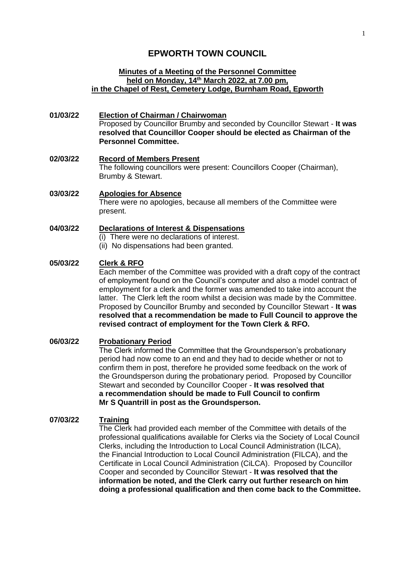# **EPWORTH TOWN COUNCIL**

#### **Minutes of a Meeting of the Personnel Committee held on Monday, 14th March 2022, at 7.00 pm, in the Chapel of Rest, Cemetery Lodge, Burnham Road, Epworth**

- **01/03/22 Election of Chairman / Chairwoman** Proposed by Councillor Brumby and seconded by Councillor Stewart - **It was resolved that Councillor Cooper should be elected as Chairman of the Personnel Committee.**
- **02/03/22 Record of Members Present** The following councillors were present: Councillors Cooper (Chairman), Brumby & Stewart.
- **03/03/22 Apologies for Absence** There were no apologies, because all members of the Committee were present.

#### **04/03/22 Declarations of Interest & Dispensations** (i) There were no declarations of interest.

(ii) No dispensations had been granted.

## **05/03/22 Clerk & RFO**

Each member of the Committee was provided with a draft copy of the contract of employment found on the Council's computer and also a model contract of employment for a clerk and the former was amended to take into account the latter. The Clerk left the room whilst a decision was made by the Committee. Proposed by Councillor Brumby and seconded by Councillor Stewart - **It was resolved that a recommendation be made to Full Council to approve the revised contract of employment for the Town Clerk & RFO.**

### **06/03/22 Probationary Period**

The Clerk informed the Committee that the Groundsperson's probationary period had now come to an end and they had to decide whether or not to confirm them in post, therefore he provided some feedback on the work of the Groundsperson during the probationary period. Proposed by Councillor Stewart and seconded by Councillor Cooper - **It was resolved that a recommendation should be made to Full Council to confirm Mr S Quantrill in post as the Groundsperson.**

### **07/03/22 Training**

The Clerk had provided each member of the Committee with details of the professional qualifications available for Clerks via the Society of Local Council Clerks, including the Introduction to Local Council Administration (ILCA), the Financial Introduction to Local Council Administration (FILCA), and the Certificate in Local Council Administration (CiLCA). Proposed by Councillor Cooper and seconded by Councillor Stewart - **It was resolved that the information be noted, and the Clerk carry out further research on him doing a professional qualification and then come back to the Committee.**